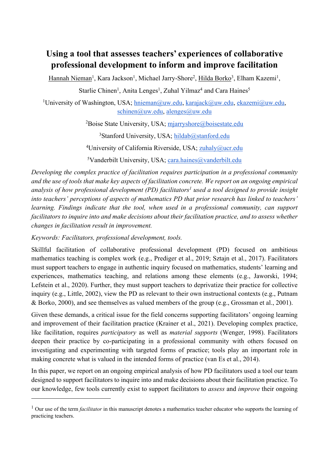# **Using a tool that assesses teachers' experiences of collaborative professional development to inform and improve facilitation**

Hannah Nieman<sup>1</sup>, Kara Jackson<sup>1</sup>, Michael Jarry-Shore<sup>2</sup>, <u>Hilda Borko</u><sup>3</sup>, Elham Kazemi<sup>1</sup>,

Starlie Chinen<sup>1</sup>, Anita Lenges<sup>1</sup>, Zuhal Yilmaz<sup>4</sup> and Cara Haines<sup>5</sup>

<sup>1</sup>University of Washington, USA; hnieman@uw.edu, karajack@uw.edu, ekazemi@uw.edu, schinen@uw.edu, alenges@uw.edu

<sup>2</sup>Boise State University, USA; mjarryshore@boisestate.edu

<sup>3</sup>Stanford University, USA; hildab@stanford.edu

<sup>4</sup>University of California Riverside, USA; **zuhaly@ucr.edu** 

<sup>5</sup>Vanderbilt University, USA; cara.haines@vanderbilt.edu

*Developing the complex practice of facilitation requires participation in a professional community and the use of tools that make key aspects of facilitation concrete. We report on an ongoing empirical analysis of how professional development (PD) facilitators1 used a tool designed to provide insight into teachers' perceptions of aspects of mathematics PD that prior research has linked to teachers' learning. Findings indicate that the tool, when used in a professional community, can support facilitators to inquire into and make decisions about their facilitation practice, and to assess whether changes in facilitation result in improvement.*

*Keywords: Facilitators, professional development, tools.*

Skillful facilitation of collaborative professional development (PD) focused on ambitious mathematics teaching is complex work (e.g., Prediger et al., 2019; Sztajn et al., 2017). Facilitators must support teachers to engage in authentic inquiry focused on mathematics, students' learning and experiences, mathematics teaching, and relations among these elements (e.g., Jaworski, 1994; Lefstein et al., 2020). Further, they must support teachers to deprivatize their practice for collective inquiry (e.g., Little, 2002), view the PD as relevant to their own instructional contexts (e.g., Putnam & Borko, 2000), and see themselves as valued members of the group (e.g., Grossman et al., 2001).

Given these demands, a critical issue for the field concerns supporting facilitators' ongoing learning and improvement of their facilitation practice (Krainer et al., 2021). Developing complex practice, like facilitation, requires *participatory* as well as *material supports* (Wenger, 1998). Facilitators deepen their practice by co-participating in a professional community with others focused on investigating and experimenting with targeted forms of practice; tools play an important role in making concrete what is valued in the intended forms of practice (van Es et al., 2014).

In this paper, we report on an ongoing empirical analysis of how PD facilitators used a tool our team designed to support facilitators to inquire into and make decisions about their facilitation practice. To our knowledge, few tools currently exist to support facilitators to *assess* and *improve* their ongoing

<sup>&</sup>lt;sup>1</sup> Our use of the term *facilitator* in this manuscript denotes a mathematics teacher educator who supports the learning of practicing teachers.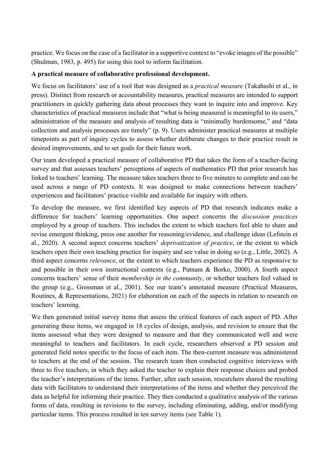practice. We focus on the case of a facilitator in a supportive context to "evoke images of the possible" (Shulman, 1983, p. 495) for using this tool to inform facilitation.

#### **A practical measure of collaborative professional development.**

We focus on facilitators' use of a tool that was designed as a *practical measure* (Takahashi et al., in press). Distinct from research or accountability measures, practical measures are intended to support practitioners in quickly gathering data about processes they want to inquire into and improve. Key characteristics of practical measures include that "what is being measured is meaningful to its users," administration of the measure and analysis of resulting data is "minimally burdensome," and "data collection and analysis processes are timely" (p. 9). Users administer practical measures at multiple timepoints as part of inquiry cycles to assess whether deliberate changes to their practice result in desired improvements, and to set goals for their future work.

Our team developed a practical measure of collaborative PD that takes the form of a teacher-facing survey and that assesses teachers' perceptions of aspects of mathematics PD that prior research has linked to teachers' learning. The measure takes teachers three to five minutes to complete and can be used across a range of PD contexts. It was designed to make connections between teachers' experiences and facilitators' practice visible and available for inquiry with others.

To develop the measure, we first identified key aspects of PD that research indicates make a difference for teachers' learning opportunities. One aspect concerns the *discussion practices* employed by a group of teachers. This includes the extent to which teachers feel able to share and revise emergent thinking, press one another for reasoning/evidence, and challenge ideas (Lefstein et al., 2020). A second aspect concerns teachers' *deprivatization of practice*, or the extent to which teachers open their own teaching practice for inquiry and see value in doing so (e.g., Little, 2002). A third aspect concerns *relevance*, or the extent to which teachers experience the PD as responsive to and possible in their own instructional contexts (e.g., Putnam & Borko, 2000). A fourth aspect concerns teachers' sense of their *membership in the community*, or whether teachers feel valued in the group (e.g., Grossman et al., 2001). See our team's annotated measure (Practical Measures, Routines, & Representations, 2021) for elaboration on each of the aspects in relation to research on teachers' learning.

We then generated initial survey items that assess the critical features of each aspect of PD. After generating these items, we engaged in 18 cycles of design, analysis, and revision to ensure that the items assessed what they were designed to measure and that they communicated well and were meaningful to teachers and facilitators. In each cycle, researchers observed a PD session and generated field notes specific to the focus of each item. The then-current measure was administered to teachers at the end of the session. The research team then conducted cognitive interviews with three to five teachers, in which they asked the teacher to explain their response choices and probed the teacher's interpretations of the items. Further, after each session, researchers shared the resulting data with facilitators to understand their interpretations of the items and whether they perceived the data as helpful for informing their practice. They then conducted a qualitative analysis of the various forms of data, resulting in revisions to the survey, including eliminating, adding, and/or modifying particular items. This process resulted in ten survey items (see Table 1).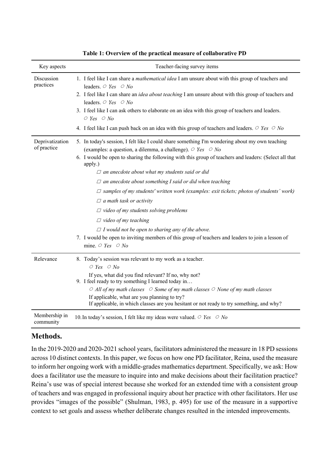| Key aspects                    | Teacher-facing survey items                                                                                                                                                                                                                                                                                                                                                                                                                                                                                                                                                                                                                                                                                                                                                                                                               |
|--------------------------------|-------------------------------------------------------------------------------------------------------------------------------------------------------------------------------------------------------------------------------------------------------------------------------------------------------------------------------------------------------------------------------------------------------------------------------------------------------------------------------------------------------------------------------------------------------------------------------------------------------------------------------------------------------------------------------------------------------------------------------------------------------------------------------------------------------------------------------------------|
| Discussion<br>practices        | 1. I feel like I can share a <i>mathematical idea</i> I am unsure about with this group of teachers and<br>leaders. $\circ$ Yes $\circ$ No<br>2. I feel like I can share an <i>idea about teaching</i> I am unsure about with this group of teachers and<br>leaders. $\circ$ Yes $\circ$ No<br>3. I feel like I can ask others to elaborate on an idea with this group of teachers and leaders.<br>$O$ Yes $O$ No<br>4. I feel like I can push back on an idea with this group of teachers and leaders. $\circ$ Yes $\circ$ No                                                                                                                                                                                                                                                                                                            |
| Deprivatization<br>of practice | 5. In today's session, I felt like I could share something I'm wondering about my own teaching<br>(examples: a question, a dilemma, a challenge). $\circ$ Yes $\circ$ No<br>6. I would be open to sharing the following with this group of teachers and leaders: (Select all that<br>apply.)<br>$\Box$ an anecdote about what my students said or did<br>$\Box$ an anecdote about something I said or did when teaching<br>$\Box$ samples of my students' written work (examples: exit tickets; photos of students' work)<br>$\Box$ a math task or activity<br>$\Box$ video of my students solving problems<br>$\Box$ video of my teaching<br>$\Box$ I would not be open to sharing any of the above.<br>7. I would be open to inviting members of this group of teachers and leaders to join a lesson of<br>mine. $\circ$ Yes $\circ$ No |
| Relevance                      | 8. Today's session was relevant to my work as a teacher.<br>$O$ Yes $O$ No<br>If yes, what did you find relevant? If no, why not?<br>9. I feel ready to try something I learned today in<br>$\circ$ All of my math classes $\circ$ Some of my math classes $\circ$ None of my math classes<br>If applicable, what are you planning to try?<br>If applicable, in which classes are you hesitant or not ready to try something, and why?                                                                                                                                                                                                                                                                                                                                                                                                    |
| Membership in<br>community     | 10. In today's session, I felt like my ideas were valued. $\circ$ Yes $\circ$ No                                                                                                                                                                                                                                                                                                                                                                                                                                                                                                                                                                                                                                                                                                                                                          |

#### **Table 1: Overview of the practical measure of collaborative PD**

# **Methods.**

In the 2019-2020 and 2020-2021 school years, facilitators administered the measure in 18 PD sessions across 10 distinct contexts. In this paper, we focus on how one PD facilitator, Reina, used the measure to inform her ongoing work with a middle-grades mathematics department. Specifically, we ask: How does a facilitator use the measure to inquire into and make decisions about their facilitation practice? Reina's use was of special interest because she worked for an extended time with a consistent group of teachers and was engaged in professional inquiry about her practice with other facilitators. Her use provides "images of the possible" (Shulman, 1983, p. 495) for use of the measure in a supportive context to set goals and assess whether deliberate changes resulted in the intended improvements.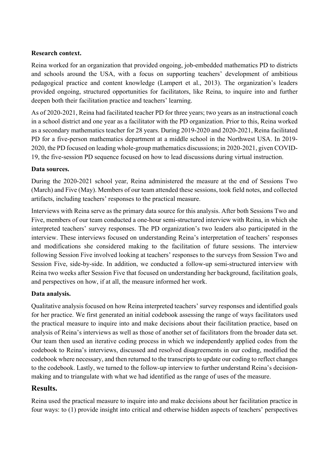#### **Research context.**

Reina worked for an organization that provided ongoing, job-embedded mathematics PD to districts and schools around the USA, with a focus on supporting teachers' development of ambitious pedagogical practice and content knowledge (Lampert et al., 2013). The organization's leaders provided ongoing, structured opportunities for facilitators, like Reina, to inquire into and further deepen both their facilitation practice and teachers' learning.

As of 2020-2021, Reina had facilitated teacher PD for three years; two years as an instructional coach in a school district and one year as a facilitator with the PD organization. Prior to this, Reina worked as a secondary mathematics teacher for 28 years. During 2019-2020 and 2020-2021, Reina facilitated PD for a five-person mathematics department at a middle school in the Northwest USA. In 2019- 2020, the PD focused on leading whole-group mathematics discussions; in 2020-2021, given COVID-19, the five-session PD sequence focused on how to lead discussions during virtual instruction.

#### **Data sources.**

During the 2020-2021 school year, Reina administered the measure at the end of Sessions Two (March) and Five (May). Members of our team attended these sessions, took field notes, and collected artifacts, including teachers' responses to the practical measure.

Interviews with Reina serve as the primary data source for this analysis. After both Sessions Two and Five, members of our team conducted a one-hour semi-structured interview with Reina, in which she interpreted teachers' survey responses. The PD organization's two leaders also participated in the interview. These interviews focused on understanding Reina's interpretation of teachers' responses and modifications she considered making to the facilitation of future sessions. The interview following Session Five involved looking at teachers' responses to the surveys from Session Two and Session Five, side-by-side. In addition, we conducted a follow-up semi-structured interview with Reina two weeks after Session Five that focused on understanding her background, facilitation goals, and perspectives on how, if at all, the measure informed her work.

# **Data analysis.**

Qualitative analysis focused on how Reina interpreted teachers' survey responses and identified goals for her practice. We first generated an initial codebook assessing the range of ways facilitators used the practical measure to inquire into and make decisions about their facilitation practice, based on analysis of Reina's interviews as well as those of another set of facilitators from the broader data set. Our team then used an iterative coding process in which we independently applied codes from the codebook to Reina's interviews, discussed and resolved disagreements in our coding, modified the codebook where necessary, and then returned to the transcripts to update our coding to reflect changes to the codebook. Lastly, we turned to the follow-up interview to further understand Reina's decisionmaking and to triangulate with what we had identified as the range of uses of the measure.

# **Results.**

Reina used the practical measure to inquire into and make decisions about her facilitation practice in four ways: to (1) provide insight into critical and otherwise hidden aspects of teachers' perspectives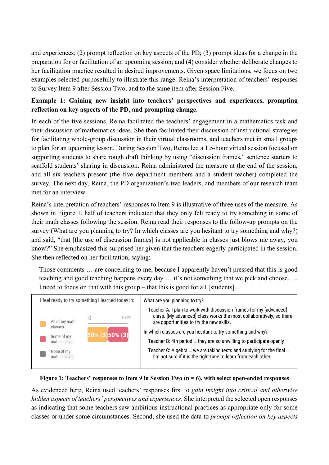and experiences; (2) prompt reflection on key aspects of the PD; (3) prompt ideas for a change in the preparation for or facilitation of an upcoming session; and (4) consider whether deliberate changes to her facilitation practice resulted in desired improvements. Given space limitations, we focus on two examples selected purposefully to illustrate this range: Reina's interpretation of teachers' responses to Survey Item 9 after Session Two, and to the same item after Session Five.

# **Example 1: Gaining new insight into teachers' perspectives and experiences, prompting reflection on key aspects of the PD, and prompting change.**

In each of the five sessions, Reina facilitated the teachers' engagement in a mathematics task and their discussion of mathematics ideas. She then facilitated their discussion of instructional strategies for facilitating whole-group discussion in their virtual classrooms, and teachers met in small groups to plan for an upcoming lesson. During Session Two, Reina led a 1.5-hour virtual session focused on supporting students to share rough draft thinking by using "discussion frames," sentence starters to scaffold students' sharing in discussion. Reina administered the measure at the end of the session, and all six teachers present (the five department members and a student teacher) completed the survey. The next day, Reina, the PD organization's two leaders, and members of our research team met for an interview.

Reina's interpretation of teachers' responses to Item 9 is illustrative of three uses of the measure. As shown in Figure 1, half of teachers indicated that they only felt ready to try something in some of their math classes following the session. Reina read their responses to the follow-up prompts on the survey (What are you planning to try? In which classes are you hesitant to try something and why?) and said, "that [the use of discussion frames] is not applicable in classes just blows me away, you know?" She emphasized this surprised her given that the teachers eagerly participated in the session. She then reflected on her facilitation, saying:

Those comments … are concerning to me, because I apparently haven't pressed that this is good teaching and good teaching happens every day … it's not something that we pick and choose. … I need to focus on that with this group – that this is good for all [students]...

| I feel ready to try something I learned today in: | What are you planning to try?                                                                                                                                                         |
|---------------------------------------------------|---------------------------------------------------------------------------------------------------------------------------------------------------------------------------------------|
| 100%<br>All of my math<br>classes                 | Teacher A: I plan to work with discussion frames for my [advanced]<br>class. [My advanced] class works the most collaboratively, so there<br>are opportunities to try the new skills. |
| 50% (3) 50% (3)                                   | In which classes are you hesitant to try something and why?                                                                                                                           |
| Some of my<br>math classes                        | Teacher B: 4th period  they are so unwilling to participate openly                                                                                                                    |
| None of my<br>math classes                        | Teacher C: Algebra  we are taking tests and studying for the final<br>I'm not sure if it is the right time to learn from each other                                                   |
|                                                   |                                                                                                                                                                                       |

#### **Figure 1: Teachers' responses to Item 9 in Session Two (n = 6), with select open-ended responses**

As evidenced here, Reina used teachers' responses first to *gain insight into critical and otherwise hidden aspects of teachers' perspectives and experiences*. She interpreted the selected open responses as indicating that some teachers saw ambitious instructional practices as appropriate only for some classes or under some circumstances. Second, she used the data to *prompt reflection on key aspects*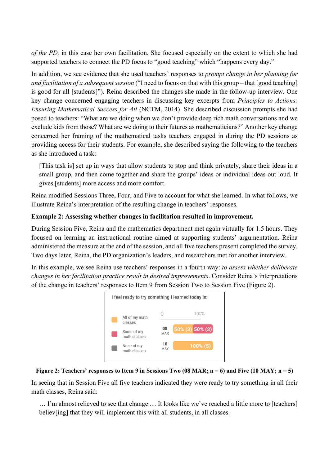*of the PD,* in this case her own facilitation. She focused especially on the extent to which she had supported teachers to connect the PD focus to "good teaching" which "happens every day."

In addition, we see evidence that she used teachers' responses to *prompt change in her planning for and facilitation of a subsequent session* ("I need to focus on that with this group – that [good teaching] is good for all [students]"). Reina described the changes she made in the follow-up interview. One key change concerned engaging teachers in discussing key excerpts from *Principles to Actions: Ensuring Mathematical Success for All* (NCTM, 2014). She described discussion prompts she had posed to teachers: "What are we doing when we don't provide deep rich math conversations and we exclude kids from those? What are we doing to their futures as mathematicians?" Another key change concerned her framing of the mathematical tasks teachers engaged in during the PD sessions as providing access for their students. For example, she described saying the following to the teachers as she introduced a task:

[This task is] set up in ways that allow students to stop and think privately, share their ideas in a small group, and then come together and share the groups' ideas or individual ideas out loud. It gives [students] more access and more comfort.

Reina modified Sessions Three, Four, and Five to account for what she learned. In what follows, we illustrate Reina's interpretation of the resulting change in teachers' responses.

#### **Example 2: Assessing whether changes in facilitation resulted in improvement.**

During Session Five, Reina and the mathematics department met again virtually for 1.5 hours. They focused on learning an instructional routine aimed at supporting students' argumentation. Reina administered the measure at the end of the session, and all five teachers present completed the survey. Two days later, Reina, the PD organization's leaders, and researchers met for another interview.

In this example, we see Reina use teachers' responses in a fourth way: *to assess whether deliberate changes in her facilitation practice result in desired improvements*. Consider Reina's interpretations of the change in teachers' responses to Item 9 from Session Two to Session Five (Figure 2).





In seeing that in Session Five all five teachers indicated they were ready to try something in all their math classes, Reina said:

… I'm almost relieved to see that change … It looks like we've reached a little more to [teachers] believ[ing] that they will implement this with all students, in all classes.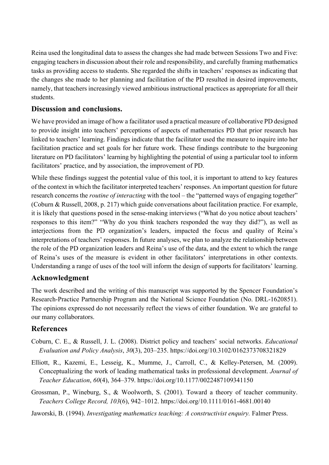Reina used the longitudinal data to assess the changes she had made between Sessions Two and Five: engaging teachers in discussion about their role and responsibility, and carefully framing mathematics tasks as providing access to students. She regarded the shifts in teachers' responses as indicating that the changes she made to her planning and facilitation of the PD resulted in desired improvements, namely, that teachers increasingly viewed ambitious instructional practices as appropriate for all their students.

# **Discussion and conclusions.**

We have provided an image of how a facilitator used a practical measure of collaborative PD designed to provide insight into teachers' perceptions of aspects of mathematics PD that prior research has linked to teachers' learning. Findings indicate that the facilitator used the measure to inquire into her facilitation practice and set goals for her future work. These findings contribute to the burgeoning literature on PD facilitators' learning by highlighting the potential of using a particular tool to inform facilitators' practice, and by association, the improvement of PD.

While these findings suggest the potential value of this tool, it is important to attend to key features of the context in which the facilitator interpreted teachers' responses. An important question for future research concerns the *routine of interacting* with the tool – the "patterned ways of engaging together" (Coburn & Russell, 2008, p. 217) which guide conversations about facilitation practice. For example, it is likely that questions posed in the sense-making interviews ("What do you notice about teachers' responses to this item?" "Why do you think teachers responded the way they did?"), as well as interjections from the PD organization's leaders, impacted the focus and quality of Reina's interpretations of teachers' responses. In future analyses, we plan to analyze the relationship between the role of the PD organization leaders and Reina's use of the data, and the extent to which the range of Reina's uses of the measure is evident in other facilitators' interpretations in other contexts. Understanding a range of uses of the tool will inform the design of supports for facilitators' learning.

# **Acknowledgment**

The work described and the writing of this manuscript was supported by the Spencer Foundation's Research-Practice Partnership Program and the National Science Foundation (No. DRL-1620851). The opinions expressed do not necessarily reflect the views of either foundation. We are grateful to our many collaborators.

# **References**

- Coburn, C. E., & Russell, J. L. (2008). District policy and teachers' social networks. *Educational Evaluation and Policy Analysis*, *30*(3), 203–235. https://doi.org/10.3102/0162373708321829
- Elliott, R., Kazemi, E., Lesseig, K., Mumme, J., Carroll, C., & Kelley-Petersen, M. (2009). Conceptualizing the work of leading mathematical tasks in professional development. *Journal of Teacher Education*, *60*(4), 364–379. https://doi.org/10.1177/0022487109341150
- Grossman, P., Wineburg, S., & Woolworth, S. (2001). Toward a theory of teacher community. *Teachers College Record, 103*(6), 942–1012. https://doi.org/10.1111/0161-4681.00140
- Jaworski, B. (1994). *Investigating mathematics teaching: A constructivist enquiry.* Falmer Press.